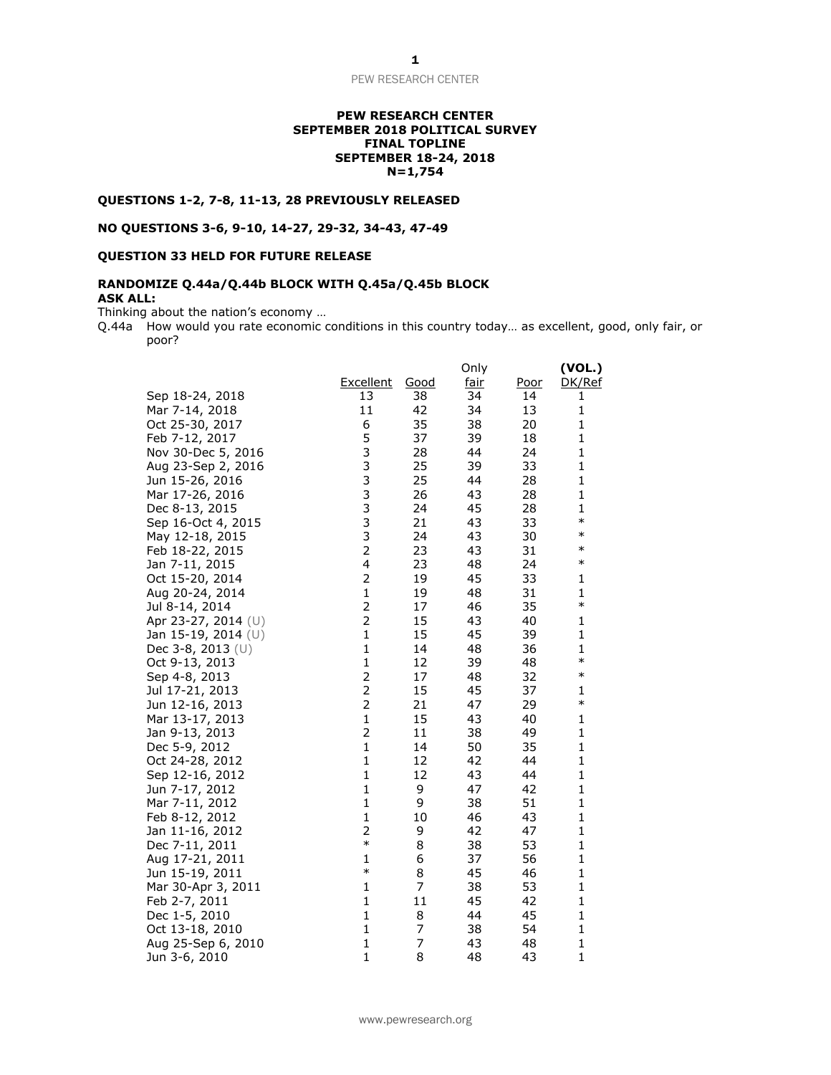## **PEW RESEARCH CENTER SEPTEMBER 2018 POLITICAL SURVEY FINAL TOPLINE SEPTEMBER 18-24, 2018 N=1,754**

## **QUESTIONS 1-2, 7-8, 11-13, 28 PREVIOUSLY RELEASED**

**NO QUESTIONS 3-6, 9-10, 14-27, 29-32, 34-43, 47-49**

# **QUESTION 33 HELD FOR FUTURE RELEASE**

## **RANDOMIZE Q.44a/Q.44b BLOCK WITH Q.45a/Q.45b BLOCK ASK ALL:**

Thinking about the nation's economy …

Q.44a How would you rate economic conditions in this country today... as excellent, good, only fair, or poor?

|                     |                         |             | Only        |             | (VOL.)       |
|---------------------|-------------------------|-------------|-------------|-------------|--------------|
|                     | Excellent               | <u>Good</u> | <u>fair</u> | <u>Poor</u> | DK/Ref       |
| Sep 18-24, 2018     | 13                      | 38          | 34          | 14          | 1            |
| Mar 7-14, 2018      | 11                      | 42          | 34          | 13          | $\mathbf{1}$ |
| Oct 25-30, 2017     | 6                       | 35          | 38          | 20          | 1            |
| Feb 7-12, 2017      | 5                       | 37          | 39          | 18          | $\mathbf 1$  |
| Nov 30-Dec 5, 2016  | 3                       | 28          | 44          | 24          | $\mathbf 1$  |
| Aug 23-Sep 2, 2016  | 3                       | 25          | 39          | 33          | $\mathbf 1$  |
| Jun 15-26, 2016     |                         | 25          | 44          | 28          | $\mathbf 1$  |
| Mar 17-26, 2016     | $\frac{3}{3}$           | 26          | 43          | 28          | 1            |
| Dec 8-13, 2015      |                         | 24          | 45          | 28          | 1            |
| Sep 16-Oct 4, 2015  | $\frac{3}{3}$           | 21          | 43          | 33          | $\ast$       |
| May 12-18, 2015     |                         | 24          | 43          | 30          | $\ast$       |
| Feb 18-22, 2015     | $\frac{3}{2}$           | 23          | 43          | 31          | $\ast$       |
| Jan 7-11, 2015      | $\overline{\mathbf{4}}$ | 23          | 48          | 24          | $\ast$       |
| Oct 15-20, 2014     | $\overline{\mathbf{c}}$ | 19          | 45          | 33          | 1            |
| Aug 20-24, 2014     | $\mathbf{1}$            | 19          | 48          | 31          | 1            |
| Jul 8-14, 2014      | $\overline{\mathbf{c}}$ | 17          | 46          | 35          | $\ast$       |
| Apr 23-27, 2014 (U) | $\overline{c}$          | 15          | 43          | 40          | $\mathbf 1$  |
| Jan 15-19, 2014 (U) | $\mathbf{1}$            | 15          | 45          | 39          | $\mathbf 1$  |
| Dec 3-8, 2013 $(U)$ | 1                       | 14          | 48          | 36          | 1            |
| Oct 9-13, 2013      | $\mathbf{1}$            | 12          | 39          | 48          | $\ast$       |
| Sep 4-8, 2013       | $\overline{2}$          | 17          | 48          | 32          | $\ast$       |
| Jul 17-21, 2013     | $\overline{c}$          | 15          | 45          | 37          | $\mathbf 1$  |
| Jun 12-16, 2013     | $\overline{c}$          | 21          | 47          | 29          | $\ast$       |
| Mar 13-17, 2013     | $\mathbf{1}$            | 15          | 43          | 40          | 1            |
| Jan 9-13, 2013      | $\overline{2}$          | 11          | 38          | 49          | $\mathbf 1$  |
| Dec 5-9, 2012       | $\mathbf{1}$            | 14          | 50          | 35          | $\mathbf{1}$ |
| Oct 24-28, 2012     | $\mathbf{1}$            | 12          | 42          | 44          | $\mathbf 1$  |
| Sep 12-16, 2012     | $\mathbf{1}$            | 12          | 43          | 44          | $\mathbf 1$  |
| Jun 7-17, 2012      | $\mathbf{1}$            | 9           | 47          | 42          | $\mathbf{1}$ |
| Mar 7-11, 2012      | $\mathbf{1}$            | 9           | 38          | 51          | $\mathbf 1$  |
| Feb 8-12, 2012      | $\mathbf{1}$            | 10          | 46          | 43          | $\mathbf 1$  |
| Jan 11-16, 2012     | 2                       | 9           | 42          | 47          | $\mathbf 1$  |
| Dec 7-11, 2011      | $\ast$                  | 8           | 38          | 53          | $\mathbf 1$  |
| Aug 17-21, 2011     | 1                       | 6           | 37          | 56          | 1            |
| Jun 15-19, 2011     | $\ast$                  | 8           | 45          | 46          | $\mathbf 1$  |
| Mar 30-Apr 3, 2011  | $\mathbf{1}$            | 7           | 38          | 53          | 1            |
| Feb 2-7, 2011       | $\mathbf{1}$            | 11          | 45          | 42          | $\mathbf{1}$ |
| Dec 1-5, 2010       | $\mathbf{1}$            | 8           | 44          | 45          | $\mathbf 1$  |
| Oct 13-18, 2010     | 1                       | 7           | 38          | 54          | 1            |
| Aug 25-Sep 6, 2010  | $\mathbf{1}$            | 7           | 43          | 48          | $\mathbf{1}$ |
| Jun 3-6, 2010       | $\mathbf{1}$            | 8           | 48          | 43          | $\mathbf{1}$ |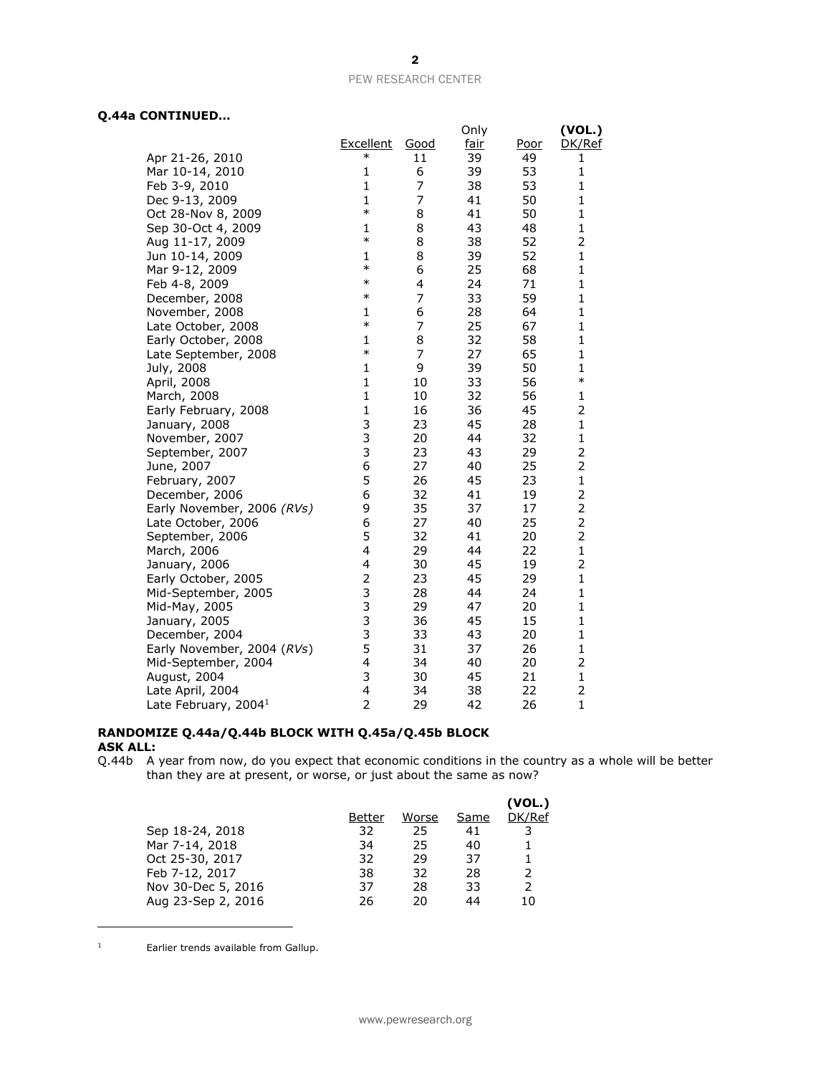# **Q.44a CONTINUED…**

|                            |                         |      | Only |      | (VOL.)                  |
|----------------------------|-------------------------|------|------|------|-------------------------|
|                            | <b>Excellent</b>        | Good | fair | Poor | DK/Ref                  |
| Apr 21-26, 2010            | $\ast$                  | 11   | 39   | 49   | 1                       |
| Mar 10-14, 2010            | 1                       | 6    | 39   | 53   | 1                       |
| Feb 3-9, 2010              | $\mathbf{1}$            | 7    | 38   | 53   | $\mathbf{1}$            |
| Dec 9-13, 2009             | $\mathbf{1}$            | 7    | 41   | 50   | $\mathbf{1}$            |
| Oct 28-Nov 8, 2009         | $\ast$                  | 8    | 41   | 50   | 1                       |
| Sep 30-Oct 4, 2009         | 1                       | 8    | 43   | 48   | 1                       |
| Aug 11-17, 2009            | $\ast$                  | 8    | 38   | 52   | 2                       |
| Jun 10-14, 2009            | $\mathbf{1}$            | 8    | 39   | 52   | 1                       |
| Mar 9-12, 2009             | $\ast$                  | 6    | 25   | 68   | 1                       |
| Feb 4-8, 2009              | $\ast$                  | 4    | 24   | 71   | 1                       |
| December, 2008             | $\ast$                  | 7    | 33   | 59   | 1                       |
| November, 2008             | 1                       | 6    | 28   | 64   | 1                       |
| Late October, 2008         | $\ast$                  | 7    | 25   | 67   | $\mathbf{1}$            |
| Early October, 2008        | 1                       | 8    | 32   | 58   | 1                       |
| Late September, 2008       | $\ast$                  | 7    | 27   | 65   | 1                       |
| July, 2008                 | $\mathbf{1}$            | 9    | 39   | 50   | 1                       |
| April, 2008                | $\mathbf{1}$            | 10   | 33   | 56   | ∗                       |
| March, 2008                | $\mathbf{1}$            | 10   | 32   | 56   | 1                       |
| Early February, 2008       | $\mathbf{1}$            | 16   | 36   | 45   | 2                       |
| January, 2008              | 3                       | 23   | 45   | 28   | $\mathbf 1$             |
| November, 2007             | 3                       | 20   | 44   | 32   | 1                       |
| September, 2007            | 3                       | 23   | 43   | 29   | $\overline{c}$          |
| June, 2007                 | 6                       | 27   | 40   | 25   | 2                       |
| February, 2007             | 5                       | 26   | 45   | 23   | $\mathbf{1}$            |
| December, 2006             | 6                       | 32   | 41   | 19   | $\overline{\mathbf{c}}$ |
| Early November, 2006 (RVs) | 9                       | 35   | 37   | 17   | 2                       |
| Late October, 2006         | 6                       | 27   | 40   | 25   | $\overline{2}$          |
| September, 2006            | 5                       | 32   | 41   | 20   | 2                       |
| March, 2006                | $\overline{\mathbf{4}}$ | 29   | 44   | 22   | $\mathbf{1}$            |
| January, 2006              | 4                       | 30   | 45   | 19   | 2                       |
| Early October, 2005        | $\overline{\mathbf{c}}$ | 23   | 45   | 29   | 1                       |
| Mid-September, 2005        | 3                       | 28   | 44   | 24   | 1                       |
| Mid-May, 2005              | 3                       | 29   | 47   | 20   | $\mathbf{1}$            |
| January, 2005              | 3                       | 36   | 45   | 15   | $\mathbf{1}$            |
| December, 2004             | 3                       | 33   | 43   | 20   | 1                       |
| Early November, 2004 (RVs) | 5                       | 31   | 37   | 26   | 1                       |
| Mid-September, 2004        | $\overline{4}$          | 34   | 40   | 20   | 2                       |
| August, 2004               | 3                       | 30   | 45   | 21   | $\mathbf{1}$            |
| Late April, 2004           | 4                       | 34   | 38   | 22   | 2                       |
| Late February, $20041$     | $\overline{2}$          | 29   | 42   | 26   | $\mathbf{1}$            |

# **RANDOMIZE Q.44a/Q.44b BLOCK WITH Q.45a/Q.45b BLOCK ASK ALL:**

Q.44b A year from now, do you expect that economic conditions in the country as a whole will be better than they are at present, or worse, or just about the same as now?

|                    |        |       |      | (VOL.)        |
|--------------------|--------|-------|------|---------------|
|                    | Better | Worse | Same | DK/Ref        |
| Sep 18-24, 2018    | 32     | 25    | 41   |               |
| Mar 7-14, 2018     | 34     | 25    | 40   |               |
| Oct 25-30, 2017    | 32     | 29    | 37   |               |
| Feb 7-12, 2017     | 38     | 32    | 28   | $\mathcal{P}$ |
| Nov 30-Dec 5, 2016 | 37     | 28    | 33   |               |
| Aug 23-Sep 2, 2016 | 26     | 20    | 44   | 10            |

<sup>1</sup> Earlier trends available from Gallup.

 $\overline{a}$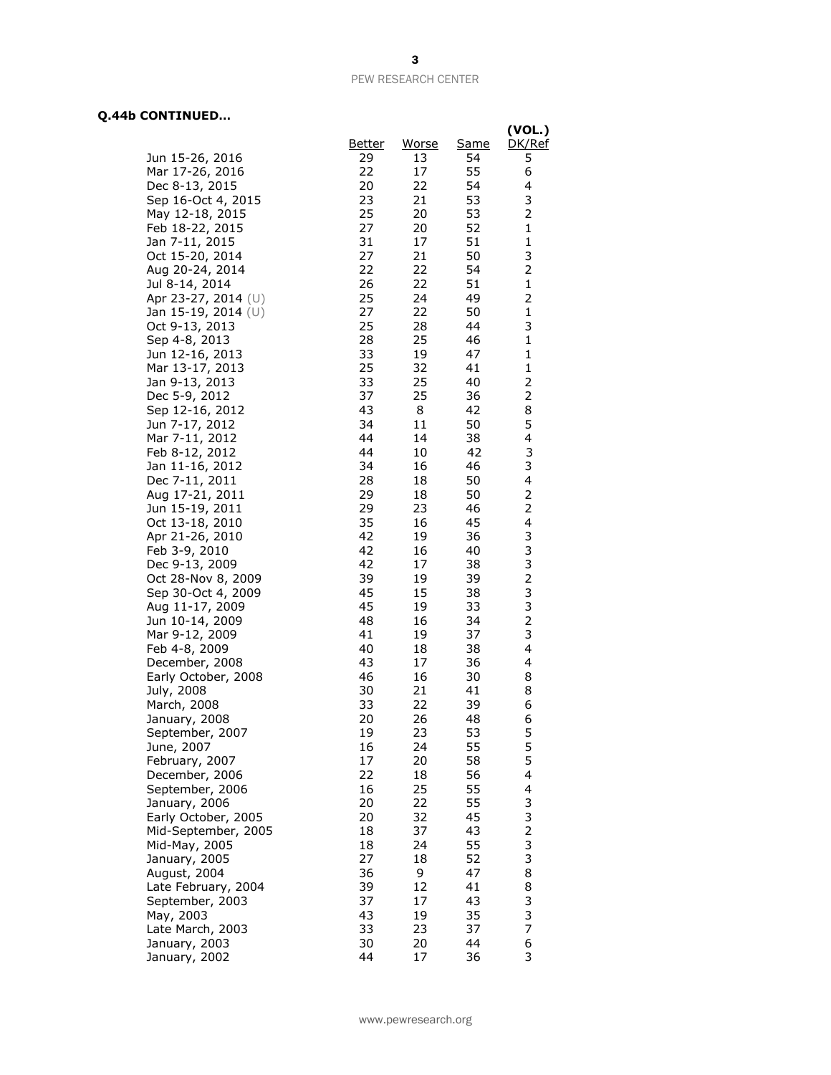# **Q.44b CONTINUED…**

|                                       |               |          |          | (VOL.)                        |
|---------------------------------------|---------------|----------|----------|-------------------------------|
|                                       | <u>Better</u> | Worse    | Same     | DK/Ref                        |
| Jun 15-26, 2016                       | 29            | 13       | 54       | 5                             |
| Mar 17-26, 2016                       | 22            | 17       | 55       | 6                             |
| Dec 8-13, 2015                        | 20            | 22       | 54       | 4                             |
| Sep 16-Oct 4, 2015                    | 23            | 21       | 53       | 3                             |
| May 12-18, 2015                       | 25            | 20       | 53       | 2                             |
| Feb 18-22, 2015                       | 27<br>31      | 20<br>17 | 52<br>51 | 1<br>$\mathbf 1$              |
| Jan 7-11, 2015<br>Oct 15-20, 2014     | 27            | 21       | 50       | 3                             |
| Aug 20-24, 2014                       | 22            | 22       | 54       | $\overline{2}$                |
| Jul 8-14, 2014                        | 26            | 22       | 51       | $\mathbf 1$                   |
| Apr 23-27, 2014 (U)                   | 25            | 24       | 49       | 2                             |
| Jan 15-19, 2014 (U)                   | 27            | 22       | 50       | $\mathbf{1}$                  |
| Oct 9-13, 2013                        | 25            | 28       | 44       | 3                             |
| Sep 4-8, 2013                         | 28            | 25       | 46       | 1                             |
| Jun 12-16, 2013                       | 33            | 19       | 47       | $\mathbf{1}$                  |
| Mar 13-17, 2013                       | 25            | 32       | 41       | $\mathbf 1$                   |
| Jan 9-13, 2013                        | 33            | 25       | 40       | 2                             |
| Dec 5-9, 2012                         | 37            | 25       | 36       | $\overline{2}$                |
| Sep 12-16, 2012<br>Jun 7-17, 2012     | 43<br>34      | 8<br>11  | 42<br>50 | 8<br>5                        |
| Mar 7-11, 2012                        | 44            | 14       | 38       | 4                             |
| Feb 8-12, 2012                        | 44            | 10       | 42       | 3                             |
| Jan 11-16, 2012                       | 34            | 16       | 46       | 3                             |
| Dec 7-11, 2011                        | 28            | 18       | 50       | 4                             |
| Aug 17-21, 2011                       | 29            | 18       | 50       | 2                             |
| Jun 15-19, 2011                       | 29            | 23       | 46       | $\overline{2}$                |
| Oct 13-18, 2010                       | 35            | 16       | 45       | 4                             |
| Apr 21-26, 2010                       | 42            | 19       | 36       | 3                             |
| Feb 3-9, 2010                         | 42            | 16       | 40       | 3                             |
| Dec 9-13, 2009                        | 42            | 17       | 38       | $\frac{3}{2}$                 |
| Oct 28-Nov 8, 2009                    | 39<br>45      | 19<br>15 | 39<br>38 | 3                             |
| Sep 30-Oct 4, 2009<br>Aug 11-17, 2009 | 45            | 19       | 33       | 3                             |
| Jun 10-14, 2009                       | 48            | 16       | 34       | 2                             |
| Mar 9-12, 2009                        | 41            | 19       | 37       | 3                             |
| Feb 4-8, 2009                         | 40            | 18       | 38       | 4                             |
| December, 2008                        | 43            | 17       | 36       | 4                             |
| Early October, 2008                   | 46            | 16       | 30       | 8                             |
| July, 2008                            | 30            | 21       | 41       | 8                             |
| March, 2008                           | 33            | 22       | 39       | 6                             |
| January, 2008                         | 20            | 26       | 48       | 6                             |
| September, 2007<br>June, 2007         | 19<br>16      | 23<br>24 | 53<br>55 | 5<br>5                        |
| February, 2007                        | 17            | 20       | 58       | 5                             |
| December, 2006                        | 22            | 18       | 56       | 4                             |
| September, 2006                       | 16            | 25       | 55       | 4                             |
| January, 2006                         | 20            | 22       | 55       | 3                             |
| Early October, 2005                   | 20            | 32       | 45       |                               |
| Mid-September, 2005                   | 18            | 37       | 43       | $\frac{3}{2}$                 |
| Mid-May, 2005                         | 18            | 24       | 55       | 3                             |
| January, 2005                         | 27            | 18       | 52       | 3                             |
| August, 2004                          | 36            | 9        | 47       | 8                             |
| Late February, 2004                   | 39            | 12       | 41       | 8                             |
| September, 2003                       | 37            | 17       | 43       | 3                             |
| May, 2003                             | 43<br>33      | 19       | 35       | 3<br>$\overline{\mathcal{I}}$ |
| Late March, 2003<br>January, 2003     | 30            | 23<br>20 | 37<br>44 | 6                             |
| January, 2002                         | 44            | 17       | 36       | 3                             |
|                                       |               |          |          |                               |

www.pewresearch.org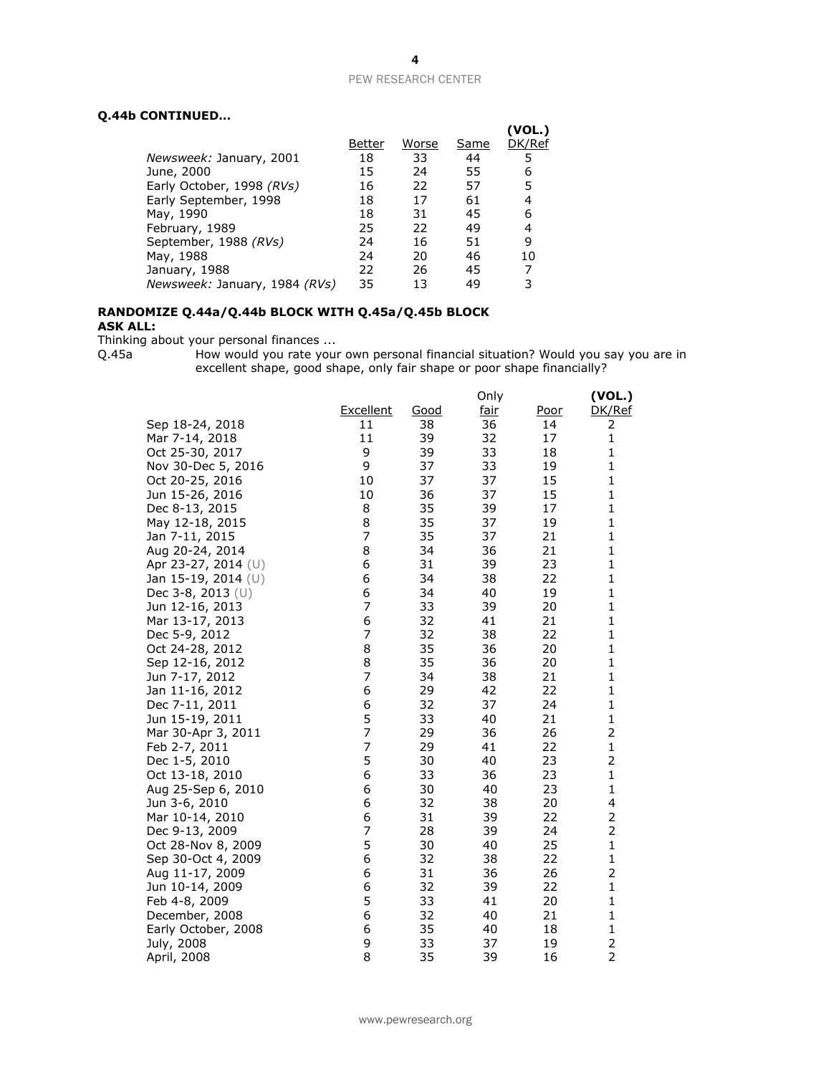# **Q.44b CONTINUED…**

|                               | Better | Worse | Same | (VOL.)<br>DK/Ref |
|-------------------------------|--------|-------|------|------------------|
| Newsweek: January, 2001       | 18     | 33    | 44   | 5                |
| June, 2000                    | 15     | 24    | 55   | 6                |
| Early October, 1998 (RVs)     | 16     | 22    | 57   | 5                |
| Early September, 1998         | 18     | 17    | 61   | 4                |
| May, 1990                     | 18     | 31    | 45   | 6                |
| February, 1989                | 25     | 22    | 49   | 4                |
| September, 1988 (RVs)         | 24     | 16    | 51   | 9                |
| May, 1988                     | 24     | 20    | 46   | 10               |
| January, 1988                 | 22     | 26    | 45   |                  |
| Newsweek: January, 1984 (RVs) | 35     | 13    | 49   | 3                |
|                               |        |       |      |                  |

## **RANDOMIZE Q.44a/Q.44b BLOCK WITH Q.45a/Q.45b BLOCK ASK ALL:**

Thinking about your personal finances ...

Q.45a How would you rate your own personal financial situation? Would you say you are in excellent shape, good shape, only fair shape or poor shape financially?

|                     |                  |      | Only        |      | (VOL.)         |
|---------------------|------------------|------|-------------|------|----------------|
|                     | <b>Excellent</b> | Good | <u>fair</u> | Poor | DK/Ref         |
| Sep 18-24, 2018     | 11               | 38   | 36          | 14   | 2              |
| Mar 7-14, 2018      | 11               | 39   | 32          | 17   | $\mathbf 1$    |
| Oct 25-30, 2017     | 9                | 39   | 33          | 18   | 1              |
| Nov 30-Dec 5, 2016  | 9                | 37   | 33          | 19   | 1              |
| Oct 20-25, 2016     | 10               | 37   | 37          | 15   | 1              |
| Jun 15-26, 2016     | 10               | 36   | 37          | 15   | 1              |
| Dec 8-13, 2015      | 8                | 35   | 39          | 17   | $\mathbf{1}$   |
| May 12-18, 2015     | 8                | 35   | 37          | 19   | 1              |
| Jan 7-11, 2015      | 7                | 35   | 37          | 21   | $\mathbf{1}$   |
| Aug 20-24, 2014     | 8                | 34   | 36          | 21   | $\mathbf{1}$   |
| Apr 23-27, 2014 (U) | 6                | 31   | 39          | 23   | 1              |
| Jan 15-19, 2014 (U) | 6                | 34   | 38          | 22   | 1              |
| Dec 3-8, 2013 $(U)$ | 6                | 34   | 40          | 19   | $\mathbf{1}$   |
| Jun 12-16, 2013     | 7                | 33   | 39          | 20   | $\mathbf{1}$   |
| Mar 13-17, 2013     | 6                | 32   | 41          | 21   | $\mathbf{1}$   |
| Dec 5-9, 2012       | 7                | 32   | 38          | 22   | $\mathbf{1}$   |
| Oct 24-28, 2012     | 8                | 35   | 36          | 20   | 1              |
| Sep 12-16, 2012     | 8                | 35   | 36          | 20   | 1              |
| Jun 7-17, 2012      | 7                | 34   | 38          | 21   | 1              |
| Jan 11-16, 2012     | 6                | 29   | 42          | 22   | 1              |
| Dec 7-11, 2011      | 6                | 32   | 37          | 24   | $\mathbf{1}$   |
| Jun 15-19, 2011     | 5                | 33   | 40          | 21   | $\mathbf{1}$   |
| Mar 30-Apr 3, 2011  | 7                | 29   | 36          | 26   | 2              |
| Feb 2-7, 2011       | 7                | 29   | 41          | 22   | $\mathbf 1$    |
| Dec 1-5, 2010       | 5                | 30   | 40          | 23   | 2              |
| Oct 13-18, 2010     | 6                | 33   | 36          | 23   | $\mathbf 1$    |
| Aug 25-Sep 6, 2010  | 6                | 30   | 40          | 23   | $\mathbf{1}$   |
| Jun 3-6, 2010       | 6                | 32   | 38          | 20   | 4              |
| Mar 10-14, 2010     | 6                | 31   | 39          | 22   | 2              |
| Dec 9-13, 2009      | 7                | 28   | 39          | 24   | 2              |
| Oct 28-Nov 8, 2009  | 5                | 30   | 40          | 25   | $\mathbf{1}$   |
| Sep 30-Oct 4, 2009  | 6                | 32   | 38          | 22   | 1              |
| Aug 11-17, 2009     | 6                | 31   | 36          | 26   | $\overline{2}$ |
| Jun 10-14, 2009     | 6                | 32   | 39          | 22   | $\mathbf{1}$   |
| Feb 4-8, 2009       | 5                | 33   | 41          | 20   | $\mathbf 1$    |
| December, 2008      | 6                | 32   | 40          | 21   | $\mathbf 1$    |
| Early October, 2008 | 6                | 35   | 40          | 18   | 1              |
| July, 2008          | 9                | 33   | 37          | 19   | $\overline{2}$ |
| April, 2008         | 8                | 35   | 39          | 16   | $\overline{2}$ |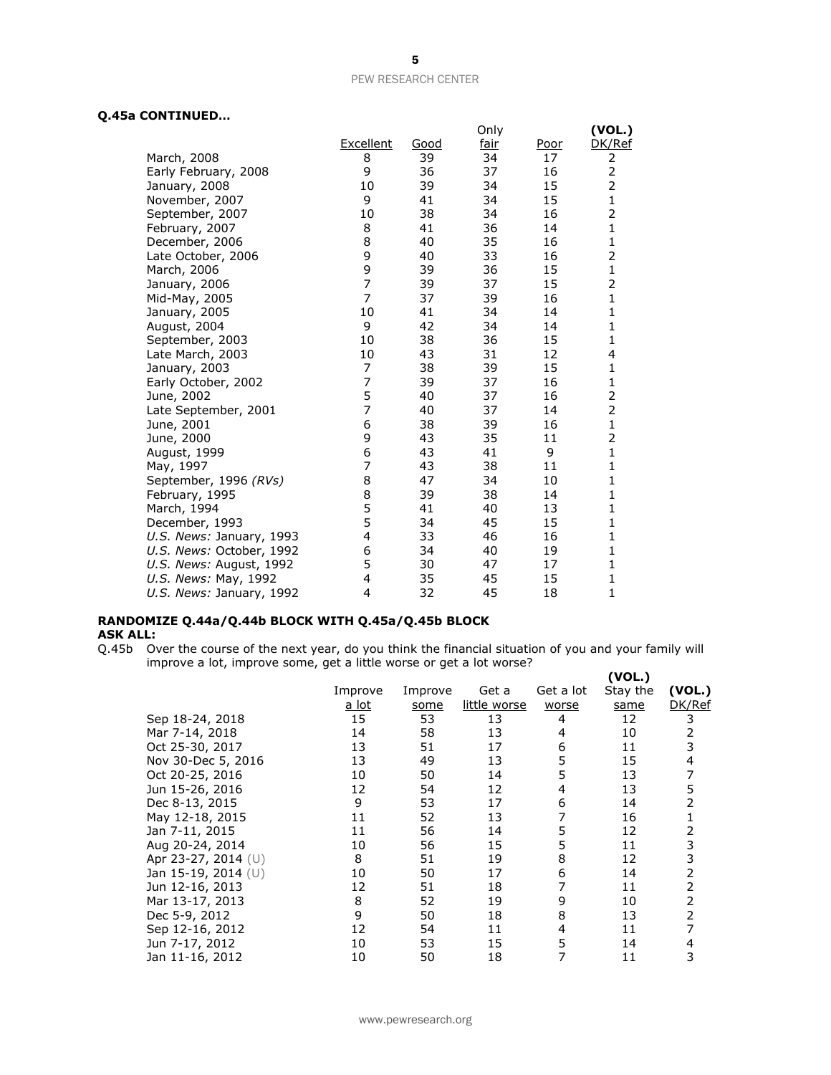# **Q.45a CONTINUED…**

|                          |                |      | Only |      | (VOL.)         |
|--------------------------|----------------|------|------|------|----------------|
|                          | Excellent      | Good | fair | Poor | DK/Ref         |
| March, 2008              | 8              | 39   | 34   | 17   | 2              |
| Early February, 2008     | 9              | 36   | 37   | 16   | $\overline{2}$ |
| January, 2008            | 10             | 39   | 34   | 15   | $\overline{2}$ |
| November, 2007           | 9              | 41   | 34   | 15   | $\mathbf{1}$   |
| September, 2007          | 10             | 38   | 34   | 16   | 2              |
| February, 2007           | 8              | 41   | 36   | 14   | $\mathbf{1}$   |
| December, 2006           | 8              | 40   | 35   | 16   | 1              |
| Late October, 2006       | 9              | 40   | 33   | 16   | 2              |
| March, 2006              | 9              | 39   | 36   | 15   | 1              |
| January, 2006            | $\overline{7}$ | 39   | 37   | 15   | 2              |
| Mid-May, 2005            | $\overline{7}$ | 37   | 39   | 16   | 1              |
| January, 2005            | 10             | 41   | 34   | 14   | 1              |
| August, 2004             | 9              | 42   | 34   | 14   | 1              |
| September, 2003          | 10             | 38   | 36   | 15   | $\mathbf{1}$   |
| Late March, 2003         | 10             | 43   | 31   | 12   | 4              |
| January, 2003            | 7              | 38   | 39   | 15   | 1              |
| Early October, 2002      | 7              | 39   | 37   | 16   | $\mathbf{1}$   |
| June, 2002               | 5              | 40   | 37   | 16   | 2              |
| Late September, 2001     | $\overline{7}$ | 40   | 37   | 14   | 2              |
| June, 2001               | 6              | 38   | 39   | 16   | 1              |
| June, 2000               | 9              | 43   | 35   | 11   | $\overline{c}$ |
| August, 1999             | 6              | 43   | 41   | 9    | $\mathbf{1}$   |
| May, 1997                | 7              | 43   | 38   | 11   | 1              |
| September, 1996 (RVs)    | 8              | 47   | 34   | 10   | $\mathbf{1}$   |
| February, 1995           | 8              | 39   | 38   | 14   | 1              |
| March, 1994              | 5              | 41   | 40   | 13   | $\mathbf{1}$   |
| December, 1993           | 5              | 34   | 45   | 15   | $\mathbf{1}$   |
| U.S. News: January, 1993 | 4              | 33   | 46   | 16   | $\mathbf{1}$   |
| U.S. News: October, 1992 | 6              | 34   | 40   | 19   | 1              |
| U.S. News: August, 1992  | 5              | 30   | 47   | 17   | $\mathbf{1}$   |
| U.S. News: May, 1992     | 4              | 35   | 45   | 15   | $\mathbf 1$    |
| U.S. News: January, 1992 | 4              | 32   | 45   | 18   | 1              |

# **RANDOMIZE Q.44a/Q.44b BLOCK WITH Q.45a/Q.45b BLOCK ASK ALL:**

Q.45b Over the course of the next year, do you think the financial situation of you and your family will improve a lot, improve some, get a little worse or get a lot worse? **(VOL.)**

|                     |              |         |              |           | ( VOL. ) |        |
|---------------------|--------------|---------|--------------|-----------|----------|--------|
|                     | Improve      | Improve | Get a        | Get a lot | Stay the | (VOL.) |
|                     | <u>a lot</u> | some    | little worse | worse     | same     | DK/Ref |
| Sep 18-24, 2018     | 15           | 53      | 13           | 4         | 12       | 3      |
| Mar 7-14, 2018      | 14           | 58      | 13           | 4         | 10       | 2      |
| Oct 25-30, 2017     | 13           | 51      | 17           | 6         | 11       | 3      |
| Nov 30-Dec 5, 2016  | 13           | 49      | 13           | 5         | 15       | 4      |
| Oct 20-25, 2016     | 10           | 50      | 14           | 5         | 13       | 7      |
| Jun 15-26, 2016     | 12           | 54      | 12           | 4         | 13       | 5      |
| Dec 8-13, 2015      | 9            | 53      | 17           | 6         | 14       | 2      |
| May 12-18, 2015     | 11           | 52      | 13           | 7         | 16       | 1      |
| Jan 7-11, 2015      | 11           | 56      | 14           | 5         | 12       | 2      |
| Aug 20-24, 2014     | 10           | 56      | 15           | 5         | 11       | 3      |
| Apr 23-27, 2014 (U) | 8            | 51      | 19           | 8         | 12       | 3      |
| Jan 15-19, 2014 (U) | 10           | 50      | 17           | 6         | 14       | 2      |
| Jun 12-16, 2013     | 12           | 51      | 18           |           | 11       | 2      |
| Mar 13-17, 2013     | 8            | 52      | 19           | 9         | 10       | 2      |
| Dec 5-9, 2012       | 9            | 50      | 18           | 8         | 13       | 2      |
| Sep 12-16, 2012     | 12           | 54      | 11           | 4         | 11       | 7      |
| Jun 7-17, 2012      | 10           | 53      | 15           | 5         | 14       | 4      |
| Jan 11-16, 2012     | 10           | 50      | 18           |           | 11       | 3      |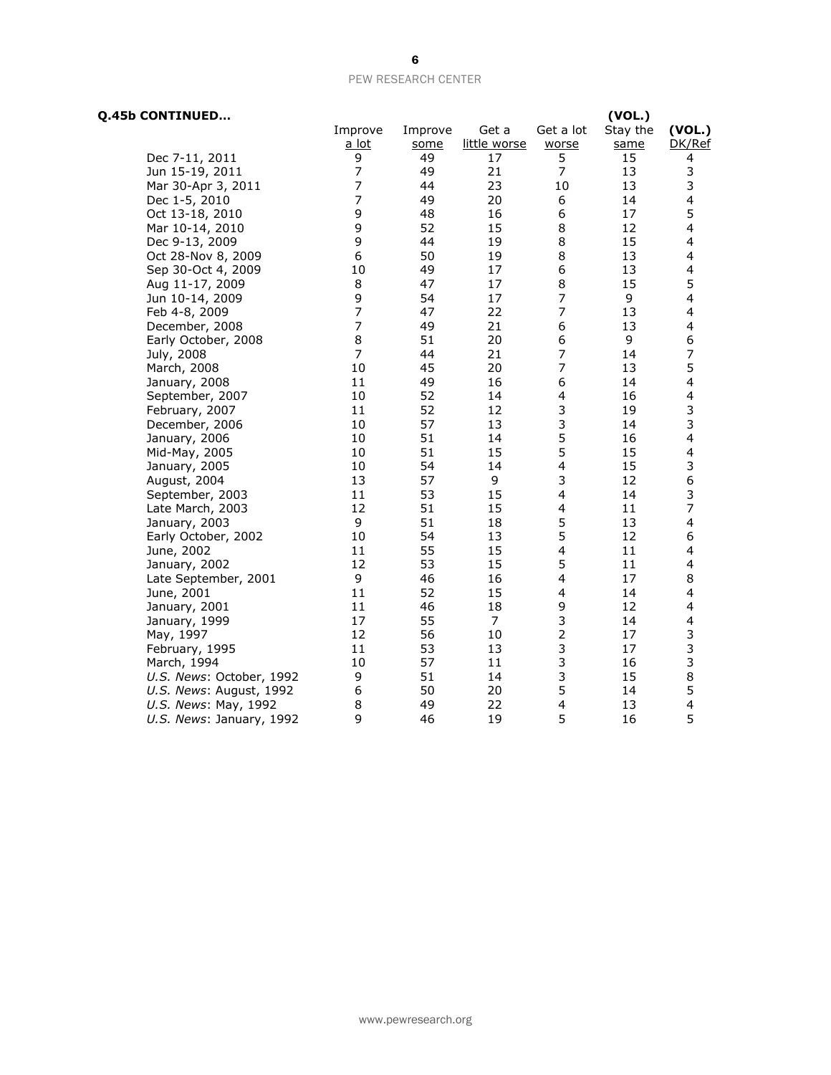| Q.45b CONTINUED          |                |         |              |                         | (VOL.)   |                          |
|--------------------------|----------------|---------|--------------|-------------------------|----------|--------------------------|
|                          | Improve        | Improve | Get a        | Get a lot               | Stay the | (VOL.)                   |
|                          | a lot          | some    | little worse | worse                   | same     | DK/Ref                   |
| Dec 7-11, 2011           | 9              | 49      | 17           | 5                       | 15       | 4                        |
| Jun 15-19, 2011          | 7              | 49      | 21           | $\overline{7}$          | 13       | 3                        |
| Mar 30-Apr 3, 2011       | $\overline{7}$ | 44      | 23           | 10                      | 13       | 3                        |
| Dec 1-5, 2010            | $\overline{7}$ | 49      | 20           | 6                       | 14       | 4                        |
| Oct 13-18, 2010          | 9              | 48      | 16           | 6                       | 17       | 5                        |
| Mar 10-14, 2010          | 9              | 52      | 15           | 8                       | 12       | 4                        |
| Dec 9-13, 2009           | 9              | 44      | 19           | 8                       | 15       | 4                        |
| Oct 28-Nov 8, 2009       | 6              | 50      | 19           | 8                       | 13       | $\overline{\mathbf{4}}$  |
| Sep 30-Oct 4, 2009       | 10             | 49      | 17           | 6                       | 13       | $\overline{\mathcal{A}}$ |
| Aug 11-17, 2009          | 8              | 47      | 17           | 8                       | 15       | 5                        |
| Jun 10-14, 2009          | 9              | 54      | 17           | 7                       | 9        | 4                        |
| Feb 4-8, 2009            | $\overline{7}$ | 47      | 22           | $\overline{7}$          | 13       | 4                        |
| December, 2008           | $\overline{7}$ | 49      | 21           | 6                       | 13       | 4                        |
| Early October, 2008      | 8              | 51      | 20           | 6                       | 9        | 6                        |
| July, 2008               | 7              | 44      | 21           | $\overline{7}$          | 14       | $\overline{\phantom{a}}$ |
| March, 2008              | 10             | 45      | 20           | $\overline{7}$          | 13       | 5                        |
| January, 2008            | 11             | 49      | 16           | 6                       | 14       | 4                        |
| September, 2007          | $10\,$         | 52      | 14           | 4                       | 16       | $\overline{\mathbf{4}}$  |
| February, 2007           | 11             | 52      | 12           | 3                       | 19       | 3                        |
| December, 2006           | 10             | 57      | 13           | 3                       | 14       | 3                        |
| January, 2006            | 10             | 51      | 14           | 5                       | 16       | $\overline{\mathbf{4}}$  |
| Mid-May, 2005            | 10             | 51      | 15           | 5                       | 15       | $\overline{\mathbf{4}}$  |
| January, 2005            | 10             | 54      | 14           | 4                       | 15       | 3                        |
| August, 2004             | 13             | 57      | 9            | 3                       | 12       | 6                        |
| September, 2003          | 11             | 53      | 15           | $\overline{\mathbf{4}}$ | 14       | 3                        |
| Late March, 2003         | 12             | 51      | 15           | 4                       | 11       | 7                        |
| January, 2003            | 9              | 51      | 18           | 5                       | 13       | 4                        |
| Early October, 2002      | 10             | 54      | 13           | 5                       | 12       | 6                        |
| June, 2002               | 11             | 55      | 15           | $\overline{\mathbf{4}}$ | 11       | 4                        |
| January, 2002            | 12             | 53      | 15           | 5                       | 11       | $\overline{\mathbf{4}}$  |
| Late September, 2001     | 9              | 46      | 16           | 4                       | 17       | 8                        |
| June, 2001               | 11             | 52      | 15           | $\overline{\mathbf{4}}$ | 14       | 4                        |
| January, 2001            | 11             | 46      | 18           | 9                       | 12       | 4                        |
| January, 1999            | 17             | 55      | 7            | 3                       | 14       | $\overline{\mathbf{4}}$  |
| May, 1997                | 12             | 56      | 10           | $\overline{2}$          | 17       | 3                        |
| February, 1995           | 11             | 53      | 13           | 3                       | 17       | 3                        |
| March, 1994              | 10             | 57      | 11           | 3                       | 16       | 3                        |
| U.S. News: October, 1992 | 9              | 51      | 14           | 3                       | 15       | 8                        |
| U.S. News: August, 1992  | 6              | 50      | 20           | 5                       | 14       | 5                        |
| U.S. News: May, 1992     | 8              | 49      | 22           | 4                       | 13       | $\overline{\mathbf{4}}$  |
| U.S. News: January, 1992 | 9              | 46      | 19           | 5                       | 16       | 5                        |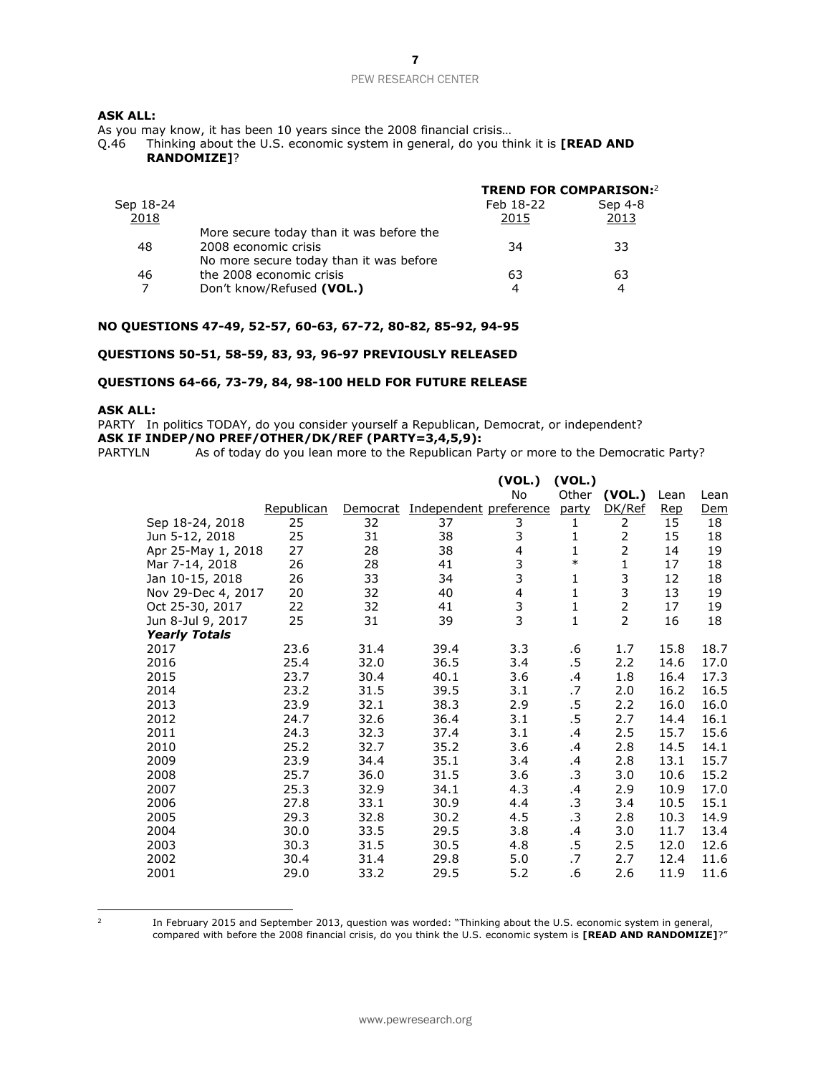## **ASK ALL:**

As you may know, it has been 10 years since the 2008 financial crisis…

Q.46 Thinking about the U.S. economic system in general, do you think it is **[READ AND RANDOMIZE]**?

|                                          | Feb 18-22 | Sep 4-8                       |
|------------------------------------------|-----------|-------------------------------|
|                                          | 2015      | 2013                          |
| More secure today than it was before the |           |                               |
| 2008 economic crisis                     | 34        | 33                            |
| No more secure today than it was before  |           |                               |
| the 2008 economic crisis                 | 63        | 63                            |
| Don't know/Refused (VOL.)                | 4         | 4                             |
|                                          |           | <b>TREND FOR COMPARISON:2</b> |

#### **NO QUESTIONS 47-49, 52-57, 60-63, 67-72, 80-82, 85-92, 94-95**

## **QUESTIONS 50-51, 58-59, 83, 93, 96-97 PREVIOUSLY RELEASED**

## **QUESTIONS 64-66, 73-79, 84, 98-100 HELD FOR FUTURE RELEASE**

## **ASK ALL:**

PARTY In politics TODAY, do you consider yourself a Republican, Democrat, or independent? **ASK IF INDEP/NO PREF/OTHER/DK/REF (PARTY=3,4,5,9):**

PARTYLN As of today do you lean more to the Republican Party or more to the Democratic Party?

|                      |            |          |                        | (VOL.)         | (VOL.)       |                |            |      |
|----------------------|------------|----------|------------------------|----------------|--------------|----------------|------------|------|
|                      |            |          |                        | No             | Other        | (VOL.)         | Lean       | Lean |
|                      | Republican | Democrat | Independent preference |                | party        | DK/Ref         | <b>Rep</b> | Dem  |
| Sep 18-24, 2018      | 25         | 32       | 37                     | 3              | 1            | 2              | 15         | 18   |
| Jun 5-12, 2018       | 25         | 31       | 38                     | 3              | 1            | $\overline{2}$ | 15         | 18   |
| Apr 25-May 1, 2018   | 27         | 28       | 38                     | $\overline{4}$ | $\mathbf{1}$ | $\overline{2}$ | 14         | 19   |
| Mar 7-14, 2018       | 26         | 28       | 41                     | 3              | $\ast$       | 1              | 17         | 18   |
| Jan 10-15, 2018      | 26         | 33       | 34                     | 3              | 1            | 3              | 12         | 18   |
| Nov 29-Dec 4, 2017   | 20         | 32       | 40                     | 4              | $\mathbf{1}$ | 3              | 13         | 19   |
| Oct 25-30, 2017      | 22         | 32       | 41                     | $\frac{3}{3}$  | $\mathbf{1}$ | $\overline{2}$ | 17         | 19   |
| Jun 8-Jul 9, 2017    | 25         | 31       | 39                     |                | $\mathbf{1}$ | $\overline{2}$ | 16         | 18   |
| <b>Yearly Totals</b> |            |          |                        |                |              |                |            |      |
| 2017                 | 23.6       | 31.4     | 39.4                   | 3.3            | .6           | 1.7            | 15.8       | 18.7 |
| 2016                 | 25.4       | 32.0     | 36.5                   | 3.4            | .5           | 2.2            | 14.6       | 17.0 |
| 2015                 | 23.7       | 30.4     | 40.1                   | 3.6            | .4           | 1.8            | 16.4       | 17.3 |
| 2014                 | 23.2       | 31.5     | 39.5                   | 3.1            | .7           | 2.0            | 16.2       | 16.5 |
| 2013                 | 23.9       | 32.1     | 38.3                   | 2.9            | .5           | 2.2            | 16.0       | 16.0 |
| 2012                 | 24.7       | 32.6     | 36.4                   | 3.1            | .5           | 2.7            | 14.4       | 16.1 |
| 2011                 | 24.3       | 32.3     | 37.4                   | 3.1            | .4           | 2.5            | 15.7       | 15.6 |
| 2010                 | 25.2       | 32.7     | 35.2                   | 3.6            | .4           | 2.8            | 14.5       | 14.1 |
| 2009                 | 23.9       | 34.4     | 35.1                   | 3.4            | .4           | 2.8            | 13.1       | 15.7 |
| 2008                 | 25.7       | 36.0     | 31.5                   | 3.6            | $\cdot$ 3    | 3.0            | 10.6       | 15.2 |
| 2007                 | 25.3       | 32.9     | 34.1                   | 4.3            | .4           | 2.9            | 10.9       | 17.0 |
| 2006                 | 27.8       | 33.1     | 30.9                   | 4.4            | .3           | 3.4            | 10.5       | 15.1 |
| 2005                 | 29.3       | 32.8     | 30.2                   | 4.5            | .3           | 2.8            | 10.3       | 14.9 |
| 2004                 | 30.0       | 33.5     | 29.5                   | 3.8            | .4           | 3.0            | 11.7       | 13.4 |
| 2003                 | 30.3       | 31.5     | 30.5                   | 4.8            | .5           | 2.5            | 12.0       | 12.6 |
| 2002                 | 30.4       | 31.4     | 29.8                   | 5.0            | .7           | 2.7            | 12.4       | 11.6 |
| 2001                 | 29.0       | 33.2     | 29.5                   | 5.2            | .6           | 2.6            | 11.9       | 11.6 |

 $\frac{1}{2}$ 

In February 2015 and September 2013, question was worded: "Thinking about the U.S. economic system in general, compared with before the 2008 financial crisis, do you think the U.S. economic system is **[READ AND RANDOMIZE]**?"